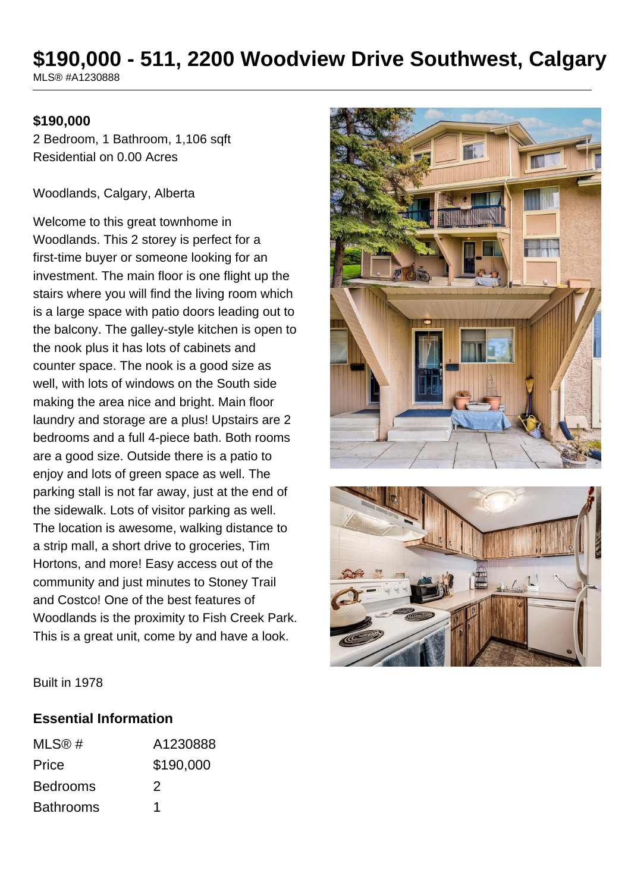## **\$190,000 - 511, 2200 Woodview Drive Southwest, Calgary** MLS® #A1230888

### **\$190,000**

2 Bedroom, 1 Bathroom, 1,106 sqft Residential on 0.00 Acres

Woodlands, Calgary, Alberta

Welcome to this great townhome in Woodlands. This 2 storey is perfect for a first-time buyer or someone looking for an investment. The main floor is one flight up the stairs where you will find the living room which is a large space with patio doors leading out to the balcony. The galley-style kitchen is open to the nook plus it has lots of cabinets and counter space. The nook is a good size as well, with lots of windows on the South side making the area nice and bright. Main floor laundry and storage are a plus! Upstairs are 2 bedrooms and a full 4-piece bath. Both rooms are a good size. Outside there is a patio to enjoy and lots of green space as well. The parking stall is not far away, just at the end of the sidewalk. Lots of visitor parking as well. The location is awesome, walking distance to a strip mall, a short drive to groceries, Tim Hortons, and more! Easy access out of the community and just minutes to Stoney Trail and Costco! One of the best features of Woodlands is the proximity to Fish Creek Park. This is a great unit, come by and have a look.





Built in 1978

#### **Essential Information**

| MLS@#            | A1230888  |
|------------------|-----------|
| Price            | \$190,000 |
| <b>Bedrooms</b>  | 2         |
| <b>Bathrooms</b> |           |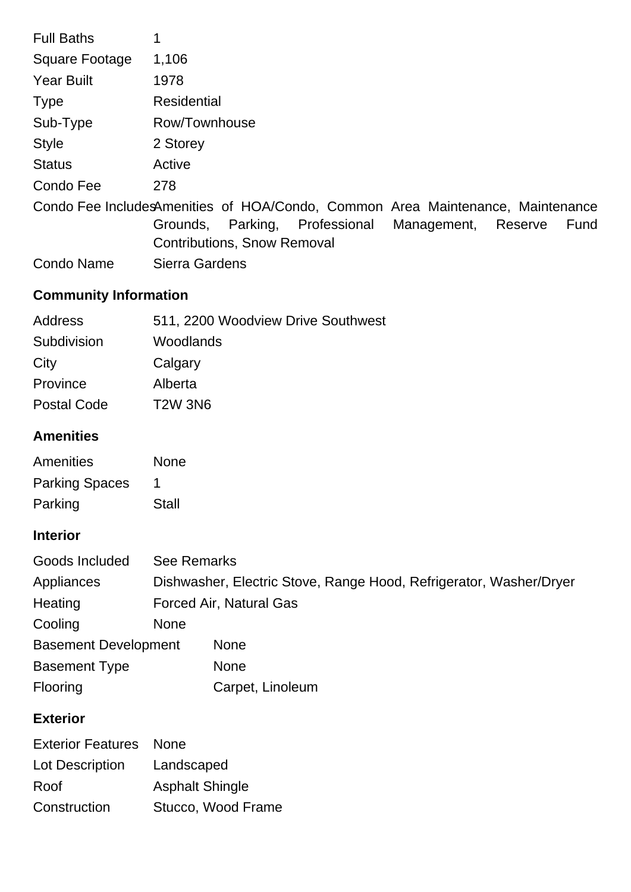| <b>Full Baths</b>     |                                                                                |
|-----------------------|--------------------------------------------------------------------------------|
| <b>Square Footage</b> | 1,106                                                                          |
| <b>Year Built</b>     | 1978                                                                           |
| <b>Type</b>           | <b>Residential</b>                                                             |
| Sub-Type              | Row/Townhouse                                                                  |
| <b>Style</b>          | 2 Storey                                                                       |
| <b>Status</b>         | Active                                                                         |
| Condo Fee             | 278                                                                            |
|                       | Condo Fee IncludesAmenities of HOA/Condo, Common Area Maintenance, Maintenance |
|                       | Professional<br>Parking,<br>Management,<br>Grounds,<br>Reserve<br>Fund         |
|                       | <b>Contributions, Snow Removal</b>                                             |

Condo Name Sierra Gardens

# **Community Information**

| Address            | 511, 2200 Woodview Drive Southwest |
|--------------------|------------------------------------|
| Subdivision        | Woodlands                          |
| City               | Calgary                            |
| Province           | Alberta                            |
| <b>Postal Code</b> | <b>T2W 3N6</b>                     |
|                    |                                    |

# **Amenities**

| Amenities             | <b>None</b> |
|-----------------------|-------------|
| <b>Parking Spaces</b> | 1           |
| Parking               | Stall       |

## **Interior**

| Goods Included              | <b>See Remarks</b>             |                                                                    |
|-----------------------------|--------------------------------|--------------------------------------------------------------------|
| Appliances                  |                                | Dishwasher, Electric Stove, Range Hood, Refrigerator, Washer/Dryer |
| Heating                     | <b>Forced Air, Natural Gas</b> |                                                                    |
| Cooling                     | <b>None</b>                    |                                                                    |
| <b>Basement Development</b> |                                | <b>None</b>                                                        |
| <b>Basement Type</b>        |                                | <b>None</b>                                                        |
| Flooring                    |                                | Carpet, Linoleum                                                   |

# **Exterior**

| <b>Exterior Features</b> None |                        |
|-------------------------------|------------------------|
| Lot Description               | Landscaped             |
| Roof                          | <b>Asphalt Shingle</b> |
| Construction                  | Stucco, Wood Frame     |